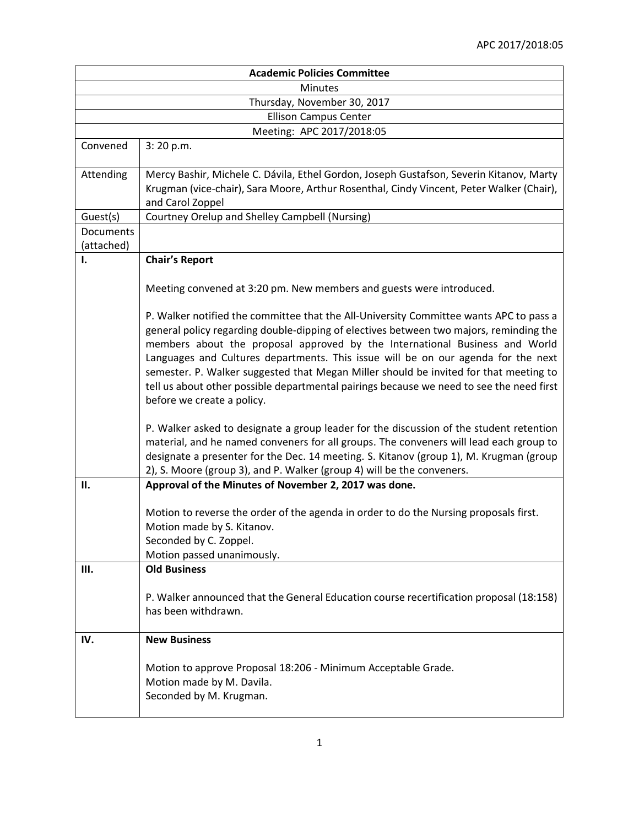| <b>Academic Policies Committee</b> |                                                                                                                                                                                                                                                                                                                                                                                                                                                                                                                                                                         |  |
|------------------------------------|-------------------------------------------------------------------------------------------------------------------------------------------------------------------------------------------------------------------------------------------------------------------------------------------------------------------------------------------------------------------------------------------------------------------------------------------------------------------------------------------------------------------------------------------------------------------------|--|
| <b>Minutes</b>                     |                                                                                                                                                                                                                                                                                                                                                                                                                                                                                                                                                                         |  |
| Thursday, November 30, 2017        |                                                                                                                                                                                                                                                                                                                                                                                                                                                                                                                                                                         |  |
| <b>Ellison Campus Center</b>       |                                                                                                                                                                                                                                                                                                                                                                                                                                                                                                                                                                         |  |
|                                    | Meeting: APC 2017/2018:05                                                                                                                                                                                                                                                                                                                                                                                                                                                                                                                                               |  |
| Convened                           | 3:20 p.m.                                                                                                                                                                                                                                                                                                                                                                                                                                                                                                                                                               |  |
| Attending                          | Mercy Bashir, Michele C. Dávila, Ethel Gordon, Joseph Gustafson, Severin Kitanov, Marty<br>Krugman (vice-chair), Sara Moore, Arthur Rosenthal, Cindy Vincent, Peter Walker (Chair),<br>and Carol Zoppel                                                                                                                                                                                                                                                                                                                                                                 |  |
| Guest(s)                           | Courtney Orelup and Shelley Campbell (Nursing)                                                                                                                                                                                                                                                                                                                                                                                                                                                                                                                          |  |
| Documents<br>(attached)            |                                                                                                                                                                                                                                                                                                                                                                                                                                                                                                                                                                         |  |
| Ι.                                 | <b>Chair's Report</b>                                                                                                                                                                                                                                                                                                                                                                                                                                                                                                                                                   |  |
|                                    | Meeting convened at 3:20 pm. New members and guests were introduced.                                                                                                                                                                                                                                                                                                                                                                                                                                                                                                    |  |
|                                    | P. Walker notified the committee that the All-University Committee wants APC to pass a<br>general policy regarding double-dipping of electives between two majors, reminding the<br>members about the proposal approved by the International Business and World<br>Languages and Cultures departments. This issue will be on our agenda for the next<br>semester. P. Walker suggested that Megan Miller should be invited for that meeting to<br>tell us about other possible departmental pairings because we need to see the need first<br>before we create a policy. |  |
|                                    | P. Walker asked to designate a group leader for the discussion of the student retention<br>material, and he named conveners for all groups. The conveners will lead each group to<br>designate a presenter for the Dec. 14 meeting. S. Kitanov (group 1), M. Krugman (group<br>2), S. Moore (group 3), and P. Walker (group 4) will be the conveners.                                                                                                                                                                                                                   |  |
| П.                                 | Approval of the Minutes of November 2, 2017 was done.                                                                                                                                                                                                                                                                                                                                                                                                                                                                                                                   |  |
|                                    | Motion to reverse the order of the agenda in order to do the Nursing proposals first.<br>Motion made by S. Kitanov.<br>Seconded by C. Zoppel.<br>Motion passed unanimously.                                                                                                                                                                                                                                                                                                                                                                                             |  |
| Ш.                                 | <b>Old Business</b>                                                                                                                                                                                                                                                                                                                                                                                                                                                                                                                                                     |  |
|                                    | P. Walker announced that the General Education course recertification proposal (18:158)<br>has been withdrawn.                                                                                                                                                                                                                                                                                                                                                                                                                                                          |  |
| IV.                                | <b>New Business</b>                                                                                                                                                                                                                                                                                                                                                                                                                                                                                                                                                     |  |
|                                    | Motion to approve Proposal 18:206 - Minimum Acceptable Grade.<br>Motion made by M. Davila.<br>Seconded by M. Krugman.                                                                                                                                                                                                                                                                                                                                                                                                                                                   |  |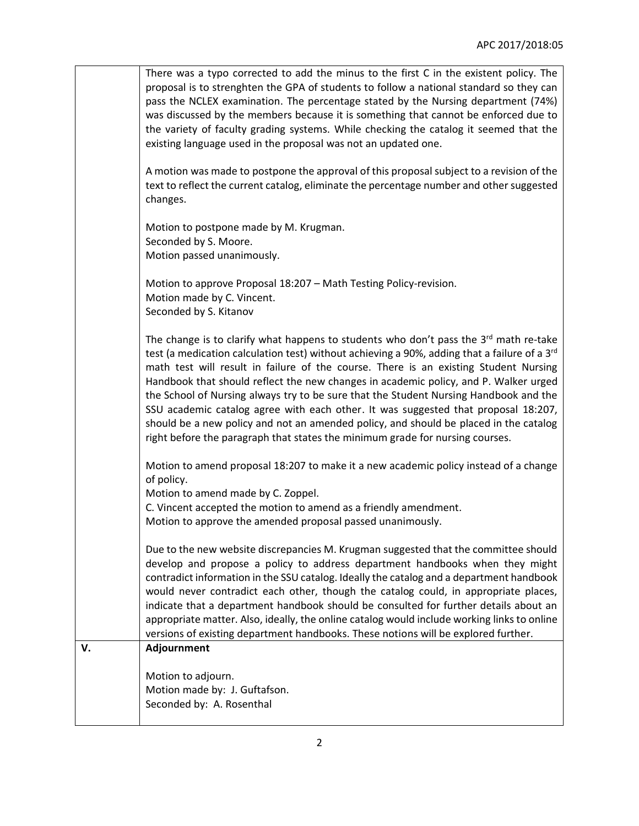|    | Motion to adjourn.<br>Motion made by: J. Guftafson.<br>Seconded by: A. Rosenthal                                                                                                                                                                                                                                                                                                                                                                                                                                                                                                                                                                                                                                                             |
|----|----------------------------------------------------------------------------------------------------------------------------------------------------------------------------------------------------------------------------------------------------------------------------------------------------------------------------------------------------------------------------------------------------------------------------------------------------------------------------------------------------------------------------------------------------------------------------------------------------------------------------------------------------------------------------------------------------------------------------------------------|
| v. | Due to the new website discrepancies M. Krugman suggested that the committee should<br>develop and propose a policy to address department handbooks when they might<br>contradict information in the SSU catalog. Ideally the catalog and a department handbook<br>would never contradict each other, though the catalog could, in appropriate places,<br>indicate that a department handbook should be consulted for further details about an<br>appropriate matter. Also, ideally, the online catalog would include working links to online<br>versions of existing department handbooks. These notions will be explored further.<br>Adjournment                                                                                           |
|    | Motion to amend proposal 18:207 to make it a new academic policy instead of a change<br>of policy.<br>Motion to amend made by C. Zoppel.<br>C. Vincent accepted the motion to amend as a friendly amendment.<br>Motion to approve the amended proposal passed unanimously.                                                                                                                                                                                                                                                                                                                                                                                                                                                                   |
|    | The change is to clarify what happens to students who don't pass the $3rd$ math re-take<br>test (a medication calculation test) without achieving a 90%, adding that a failure of a 3 <sup>rd</sup><br>math test will result in failure of the course. There is an existing Student Nursing<br>Handbook that should reflect the new changes in academic policy, and P. Walker urged<br>the School of Nursing always try to be sure that the Student Nursing Handbook and the<br>SSU academic catalog agree with each other. It was suggested that proposal 18:207,<br>should be a new policy and not an amended policy, and should be placed in the catalog<br>right before the paragraph that states the minimum grade for nursing courses. |
|    | Motion to approve Proposal 18:207 - Math Testing Policy-revision.<br>Motion made by C. Vincent.<br>Seconded by S. Kitanov                                                                                                                                                                                                                                                                                                                                                                                                                                                                                                                                                                                                                    |
|    | Motion to postpone made by M. Krugman.<br>Seconded by S. Moore.<br>Motion passed unanimously.                                                                                                                                                                                                                                                                                                                                                                                                                                                                                                                                                                                                                                                |
|    | A motion was made to postpone the approval of this proposal subject to a revision of the<br>text to reflect the current catalog, eliminate the percentage number and other suggested<br>changes.                                                                                                                                                                                                                                                                                                                                                                                                                                                                                                                                             |
|    | There was a typo corrected to add the minus to the first C in the existent policy. The<br>proposal is to strenghten the GPA of students to follow a national standard so they can<br>pass the NCLEX examination. The percentage stated by the Nursing department (74%)<br>was discussed by the members because it is something that cannot be enforced due to<br>the variety of faculty grading systems. While checking the catalog it seemed that the<br>existing language used in the proposal was not an updated one.                                                                                                                                                                                                                     |